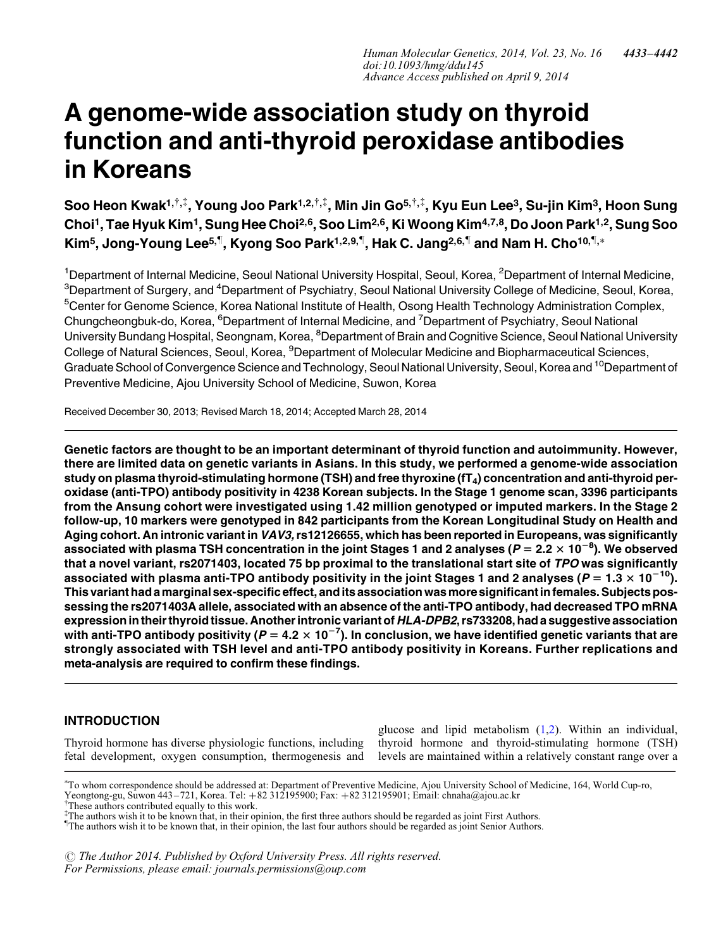# A genome-wide association study on thyroid function and anti-thyroid peroxidase antibodies in Koreans

Soo Heon Kwak<sup>1,†,‡</sup>, Young Joo Park<sup>1,2,†,‡</sup>, Min Jin Go<sup>5,†,‡</sup>, Kyu Eun Lee<sup>3</sup>, Su-jin Kim<sup>3</sup>, Hoon Sung Choi<sup>1</sup>, Tae Hyuk Kim<sup>1</sup>, Sung Hee Choi<sup>2,6</sup>, Soo Lim<sup>2,6</sup>, Ki Woong Kim<sup>4,7,8</sup>, Do Joon Park<sup>1,2</sup>, Sung Soo Kim<sup>5</sup>, Jong-Young Lee<sup>5,¶</sup>, Kyong Soo Park<sup>1,2,9,¶</sup>, Hak C. Jang<sup>2,6,¶</sup> and Nam H. Cho<sup>10,¶,</sup>∗

<sup>1</sup>Department of Internal Medicine, Seoul National University Hospital, Seoul, Korea, <sup>2</sup>Department of Internal Medicine,  $^3$ Department of Surgery, and  $^4$ Department of Psychiatry, Seoul National University College of Medicine, Seoul, Korea, <sup>5</sup>Center for Genome Science, Korea National Institute of Health, Osong Health Technology Administration Complex, Chungcheongbuk-do, Korea, <sup>6</sup>Department of Internal Medicine, and <sup>7</sup>Department of Psychiatry, Seoul National University Bundang Hospital, Seongnam, Korea, <sup>8</sup>Department of Brain and Cognitive Science, Seoul National University College of Natural Sciences, Seoul, Korea, <sup>9</sup>Department of Molecular Medicine and Biopharmaceutical Sciences, Graduate School of Convergence Science and Technology, Seoul National University, Seoul, Korea and <sup>10</sup>Department of Preventive Medicine, Ajou University School of Medicine, Suwon, Korea

Received December 30, 2013; Revised March 18, 2014; Accepted March 28, 2014

Genetic factors are thought to be an important determinant of thyroid function and autoimmunity. However, there are limited data on genetic variants in Asians. In this study, we performed a genome-wide association study on plasma thyroid-stimulating hormone (TSH) and free thyroxine ( $tT_4$ ) concentration and anti-thyroid peroxidase (anti-TPO) antibody positivity in 4238 Korean subjects. In the Stage 1 genome scan, 3396 participants from the Ansung cohort were investigated using 1.42 million genotyped or imputed markers. In the Stage 2 follow-up, 10 markers were genotyped in 842 participants from the Korean Longitudinal Study on Health and Aging cohort. An intronic variant in VAV3, rs12126655, which has been reported in Europeans, was significantly associated with plasma TSH concentration in the joint Stages 1 and 2 analyses (*P =* 2.2  $\times$  10<sup>−8</sup>). We observed that a novel variant, rs2071403, located 75 bp proximal to the translational start site of TPO was significantly associated with plasma anti-TPO antibody positivity in the joint Stages 1 and 2 analyses ( $P = 1.3 \times 10^{-10}$ ). This variant had amarginal sex-specific effect, andits association wasmore significantin females. Subjects possessing the rs2071403A allele, associated with an absence of the anti-TPO antibody, had decreased TPO mRNA expression in their thyroid tissue. Another intronic variant of HLA-DPB2, rs733208, had a suggestive association with anti-TPO antibody positivity ( $P=4.2\times 10^{-7}$ ). In conclusion, we have identified genetic variants that are strongly associated with TSH level and anti-TPO antibody positivity in Koreans. Further replications and meta-analysis are required to confirm these findings.

# INTRODUCTION

Thyroid hormone has diverse physiologic functions, including fetal development, oxygen consumption, thermogenesis and glucose and lipid metabolism [\(1](#page-8-0),[2\)](#page-8-0). Within an individual, thyroid hormone and thyroid-stimulating hormone (TSH) levels are maintained within a relatively constant range over a

† These authors contributed equally to this work. Yeongtong-gu, Suwon 443–721, Korea. Tel: +82 312195900; Fax: +82 312195901; Email: chnaha@ajou.ac.kr

 $\odot$  The Author 2014. Published by Oxford University Press. All rights reserved. For Permissions, please email: journals.permissions@oup.com

<sup>∗</sup> To whom correspondence should be addressed at: Department of Preventive Medicine, Ajou University School of Medicine, 164, World Cup-ro,

<sup>&</sup>lt;sup>‡</sup>The authors wish it to be known that, in their opinion, the first three authors should be regarded as joint First Authors.<br><sup>†</sup>The authors wish it to be known that, in their opinion, the last four authors should be regar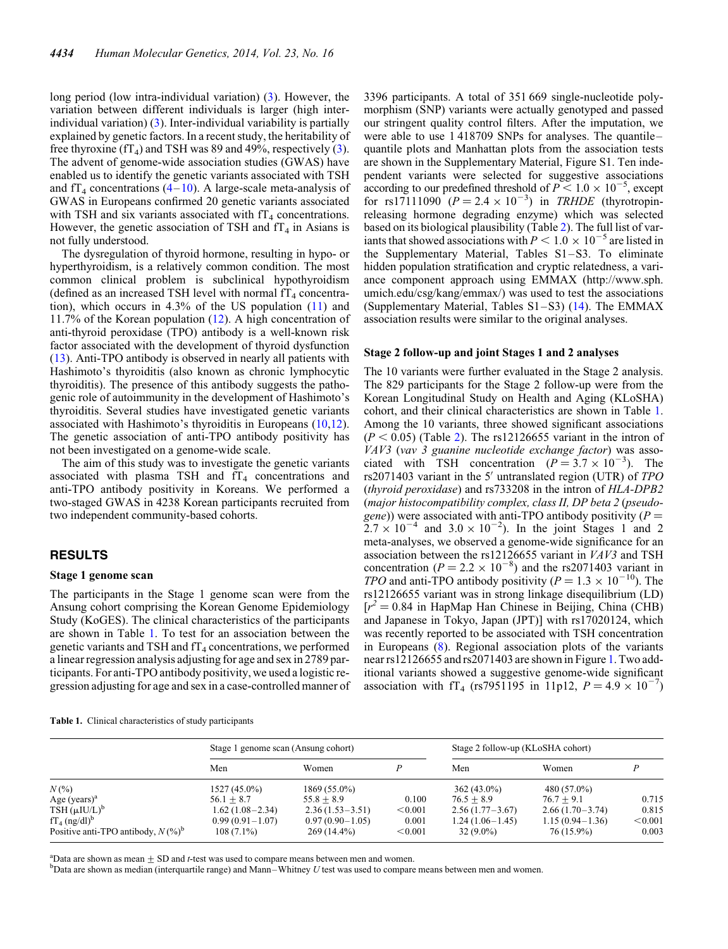<span id="page-1-0"></span>long period (low intra-individual variation) [\(3](#page-8-0)). However, the variation between different individuals is larger (high interindividual variation) ([3\)](#page-8-0). Inter-individual variability is partially explained by genetic factors. In a recent study, the heritability of free thyroxine  $(fT_4)$  and TSH was 89 and 49%, respectively [\(3](#page-8-0)). The advent of genome-wide association studies (GWAS) have enabled us to identify the genetic variants associated with TSH and  $f_{4}$  concentrations [\(4](#page-8-0)–[10](#page-9-0)). A large-scale meta-analysis of GWAS in Europeans confirmed 20 genetic variants associated with TSH and six variants associated with  $IT_4$  concentrations. However, the genetic association of TSH and  $TT_4$  in Asians is not fully understood.

The dysregulation of thyroid hormone, resulting in hypo- or hyperthyroidism, is a relatively common condition. The most common clinical problem is subclinical hypothyroidism (defined as an increased TSH level with normal  $f_{4}$  concentration), which occurs in 4.3% of the US population ([11\)](#page-9-0) and 11.7% of the Korean population ([12\)](#page-9-0). A high concentration of anti-thyroid peroxidase (TPO) antibody is a well-known risk factor associated with the development of thyroid dysfunction [\(13](#page-9-0)). Anti-TPO antibody is observed in nearly all patients with Hashimoto's thyroiditis (also known as chronic lymphocytic thyroiditis). The presence of this antibody suggests the pathogenic role of autoimmunity in the development of Hashimoto's thyroiditis. Several studies have investigated genetic variants associated with Hashimoto's thyroiditis in Europeans ([10,12](#page-9-0)). The genetic association of anti-TPO antibody positivity has not been investigated on a genome-wide scale.

The aim of this study was to investigate the genetic variants associated with plasma TSH and  $fT_4$  concentrations and anti-TPO antibody positivity in Koreans. We performed a two-staged GWAS in 4238 Korean participants recruited from two independent community-based cohorts.

# RESULTS

#### Stage 1 genome scan

The participants in the Stage 1 genome scan were from the Ansung cohort comprising the Korean Genome Epidemiology Study (KoGES). The clinical characteristics of the participants are shown in Table 1. To test for an association between the genetic variants and TSH and  $f_{4}$  concentrations, we performed a linear regression analysis adjusting for age and sex in 2789 participants. For anti-TPO antibody positivity, we used a logistic regression adjusting for age and sex in a case-controlled manner of 3396 participants. A total of 351 669 single-nucleotide polymorphism (SNP) variants were actually genotyped and passed our stringent quality control filters. After the imputation, we were able to use 1 418709 SNPs for analyses. The quantile– quantile plots and Manhattan plots from the association tests are shown in the [Supplementary Material, Figure S1.](http://hmg.oxfordjournals.org/lookup/suppl/doi:10.1093/hmg/ddu145/-/DC1) Ten independent variants were selected for suggestive associations  $\frac{1}{2}$  according to our predefined threshold of  $P \le 1.0 \times 10^{-5}$ , except for rs17111090  $(P = 2.4 \times 10^{-3})$  in *TRHDE* (thyrotropinreleasing hormone degrading enzyme) which was selected based on its biological plausibility (Table [2](#page-2-0)). The full list of variants that showed associations with  $P < 1.0 \times 10^{-5}$  are listed in the [Supplementary Material, Tables S1–S3.](http://hmg.oxfordjournals.org/lookup/suppl/doi:10.1093/hmg/ddu145/-/DC1) To eliminate hidden population stratification and cryptic relatedness, a variance component approach using EMMAX (http://www.sph. umich.edu/csg/kang/emmax/) was used to test the associations (Supplementary Material, Tables  $S1-S3$ ) ([14\)](#page-9-0). The EMMAX association results were similar to the original analyses.

#### Stage 2 follow-up and joint Stages 1 and 2 analyses

The 10 variants were further evaluated in the Stage 2 analysis. The 829 participants for the Stage 2 follow-up were from the Korean Longitudinal Study on Health and Aging (KLoSHA) cohort, and their clinical characteristics are shown in Table 1. Among the 10 variants, three showed significant associations  $(P < 0.05)$  (Table [2](#page-2-0)). The rs12126655 variant in the intron of VAV3 (vav 3 guanine nucleotide exchange factor) was associated with TSH concentration  $(P = 3.7 \times 10^{-3})$ . The rs2071403 variant in the 5' untranslated region (UTR) of TPO (thyroid peroxidase) and rs733208 in the intron of HLA-DPB2 (major histocompatibility complex, class II, DP beta 2 (pseudogene)) were associated with anti-TPO antibody positivity ( $P =$  $2.7 \times 10^{-4}$  and  $3.0 \times 10^{-2}$ ). In the joint Stages 1 and 2 meta-analyses, we observed a genome-wide significance for an association between the rs12126655 variant in VAV3 and TSH concentration  $(P = 2.2 \times 10^{-8})$  and the rs2071403 variant in TPO and anti-TPO antibody positivity ( $P = 1.3 \times 10^{-10}$ ). The rs12126655 variant was in strong linkage disequilibrium (LD)  $[r^2 = 0.84$  in HapMap Han Chinese in Beijing, China (CHB) and Japanese in Tokyo, Japan (JPT)] with rs17020124, which was recently reported to be associated with TSH concentration in Europeans [\(8](#page-8-0)). Regional association plots of the variants near rs12126655 and rs2071403 are shown in Figure [1](#page-3-0). Two additional variants showed a suggestive genome-wide significant association with fT<sub>4</sub> (rs7951195 in 11p12,  $P = 4.9 \times 10^{-7}$ )

|  |  | Table 1. Clinical characteristics of study participants |
|--|--|---------------------------------------------------------|
|  |  |                                                         |

|                                                  | Stage 1 genome scan (Ansung cohort) |                   | Stage 2 follow-up (KLoSHA cohort) |                   |                     |         |  |  |
|--------------------------------------------------|-------------------------------------|-------------------|-----------------------------------|-------------------|---------------------|---------|--|--|
|                                                  | Men                                 | Women             |                                   | Men               | Women               |         |  |  |
| $N(%^{0})$                                       | $1527(45.0\%)$                      | $1869(55.0\%)$    |                                   | $362(43.0\%)$     | 480 (57.0%)         |         |  |  |
| Age $(years)^a$                                  | $56.1 + 8.7$                        | $55.8 + 8.9$      | 0.100                             | $76.5 + 8.9$      | $76.7 + 9.1$        | 0.715   |  |  |
| $TSH (\mu I U/L)^b$                              | $1.62(1.08-2.34)$                   | $2.36(1.53-3.51)$ | < 0.001                           | $2.56(1.77-3.67)$ | $2.66(1.70-3.74)$   | 0.815   |  |  |
| $fT_4$ (ng/dl) <sup>b</sup>                      | $0.99(0.91 - 1.07)$                 | $0.97(0.90-1.05)$ | 0.001                             | $1.24(1.06-1.45)$ | $1.15(0.94 - 1.36)$ | < 0.001 |  |  |
| Positive anti-TPO antibody, $N$ (%) <sup>b</sup> | $108(7.1\%)$                        | $269(14.4\%)$     | < 0.001                           | $32(9.0\%)$       | 76 (15.9%)          | 0.003   |  |  |
|                                                  |                                     |                   |                                   |                   |                     |         |  |  |

<sup>a</sup>Data are shown as mean  $\pm$  SD and *t*-test was used to compare means between men and women.<br><sup>b</sup>Data are shown as median (interquartile range) and Mann. Whitney *U* test was used to compare

 $b$ Data are shown as median (interquartile range) and Mann–Whitney U test was used to compare means between men and women.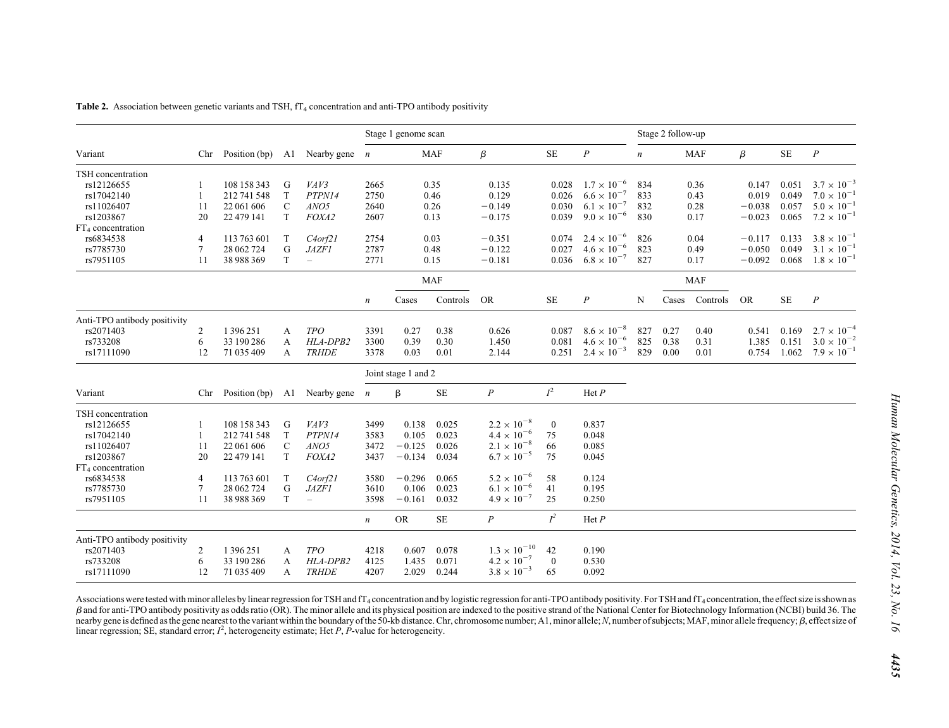|                               |                |               |               |                          | Stage 1 genome scan |                     |            |                                              |                |                      | Stage 2 follow-up |       |            |           |           |                      |
|-------------------------------|----------------|---------------|---------------|--------------------------|---------------------|---------------------|------------|----------------------------------------------|----------------|----------------------|-------------------|-------|------------|-----------|-----------|----------------------|
| Variant                       | Chr            | Position (bp) | A1            | Nearby gene $n$          |                     |                     | <b>MAF</b> | $\beta$                                      | <b>SE</b>      | $\boldsymbol{P}$     | $\boldsymbol{n}$  |       | <b>MAF</b> | $\beta$   | <b>SE</b> | $\boldsymbol{P}$     |
| TSH concentration             |                |               |               |                          |                     |                     |            |                                              |                |                      |                   |       |            |           |           |                      |
| rs12126655                    |                | 108 158 343   | G             | VAV3                     | 2665                |                     | 0.35       | 0.135                                        | 0.028          | $1.7 \times 10^{-6}$ | 834               |       | 0.36       | 0.147     | 0.051     | $3.7 \times 10^{-3}$ |
| rs17042140                    | -1             | 212 741 548   | T             | PTPN14                   | 2750                |                     | 0.46       | 0.129                                        | 0.026          | $6.6 \times 10^{-7}$ | 833               |       | 0.43       | 0.019     | 0.049     | $7.0 \times 10^{-1}$ |
| rs11026407                    | 11             | 22 061 606    | $\mathcal{C}$ | ANO <sub>5</sub>         | 2640                |                     | 0.26       | $-0.149$                                     | 0.030          | $6.1 \times 10^{-7}$ | 832               |       | 0.28       | $-0.038$  | 0.057     | $5.0 \times 10^{-1}$ |
| rs1203867                     | 20             | 22 479 141    | T             | FOXA2                    | 2607                |                     | 0.13       | $-0.175$                                     | 0.039          | $9.0 \times 10^{-6}$ | 830               |       | 0.17       | $-0.023$  | 0.065     | $7.2 \times 10^{-1}$ |
| FT <sub>4</sub> concentration |                |               |               |                          |                     |                     |            |                                              |                |                      |                   |       |            |           |           |                      |
| rs6834538                     | 4              | 113 763 601   | T             | C4orf21                  | 2754                |                     | 0.03       | $-0.351$                                     | 0.074          | $2.4 \times 10^{-6}$ | 826               |       | 0.04       | $-0.117$  | 0.133     | $3.8 \times 10^{-7}$ |
| rs7785730                     | 7              | 28 062 724    | G             | <b>JAZF1</b>             | 2787                |                     | 0.48       | $-0.122$                                     | 0.027          | $4.6 \times 10^{-6}$ | 823               |       | 0.49       | $-0.050$  | 0.049     | $3.1 \times 10^{-1}$ |
| rs7951105                     | 11             | 38 988 369    | T             | $\overline{\phantom{m}}$ | 2771                |                     | 0.15       | $-0.181$                                     | 0.036          | $6.8 \times 10^{-7}$ | 827               |       | 0.17       | $-0.092$  | 0.068     | $1.8 \times 10^{-1}$ |
|                               |                |               |               |                          |                     |                     | <b>MAF</b> |                                              |                |                      |                   |       | <b>MAF</b> |           |           |                      |
|                               |                |               |               |                          | $\boldsymbol{n}$    | Cases               | Controls   | <b>OR</b>                                    | <b>SE</b>      | $\boldsymbol{P}$     | N                 | Cases | Controls   | <b>OR</b> | <b>SE</b> | $\boldsymbol{P}$     |
| Anti-TPO antibody positivity  |                |               |               |                          |                     |                     |            |                                              |                |                      |                   |       |            |           |           |                      |
| rs2071403                     | $\overline{c}$ | 1 3 9 6 2 5 1 | A             | <b>TPO</b>               | 3391                | 0.27                | 0.38       | 0.626                                        | 0.087          | $8.6 \times 10^{-8}$ | 827               | 0.27  | 0.40       | 0.541     | 0.169     | $2.7 \times 10^{-4}$ |
| rs733208                      | 6              | 33 190 286    | A             | HLA-DPB2                 | 3300                | 0.39                | 0.30       | 1.450                                        | 0.081          | $4.6 \times 10^{-6}$ | 825               | 0.38  | 0.31       | 1.385     | 0.151     | $3.0 \times 10^{-2}$ |
| rs17111090                    | 12             | 71 035 409    | A             | <b>TRHDE</b>             | 3378                | 0.03                | 0.01       | 2.144                                        | 0.251          | $2.4 \times 10^{-3}$ | 829               | 0.00  | 0.01       | 0.754     | 1.062     | $7.9 \times 10^{-1}$ |
|                               |                |               |               |                          |                     | Joint stage 1 and 2 |            |                                              |                |                      |                   |       |            |           |           |                      |
| Variant                       | Chr            | Position (bp) | A1            | Nearby gene $n$          |                     | β                   | $\rm SE$   | $\boldsymbol{P}$                             | $I^2$          | $\text{Het } P$      |                   |       |            |           |           |                      |
| TSH concentration             |                |               |               |                          |                     |                     |            |                                              |                |                      |                   |       |            |           |           |                      |
| rs12126655                    |                | 108 158 343   | G             | VAV3                     | 3499                | 0.138               | 0.025      | $2.2 \times 10^{-8}$                         | $\overline{0}$ | 0.837                |                   |       |            |           |           |                      |
| rs17042140                    | -1             | 212 741 548   | T             | PTPN14                   | 3583                | 0.105               | 0.023      | $4.4\times10^{-6}$                           | 75             | 0.048                |                   |       |            |           |           |                      |
| rs11026407                    | 11             | 22 061 606    | $\mathbf C$   | ANO <sub>5</sub>         | 3472                | $-0.125$            | 0.026      | $2.1\times10^{-8}$                           | 66             | 0.085                |                   |       |            |           |           |                      |
| rs1203867                     | 20             | 22 479 141    | T             | FOXA2                    | 3437                | $-0.134$            | 0.034      | $6.7\times10^{-5}$                           | 75             | 0.045                |                   |       |            |           |           |                      |
| FT <sub>4</sub> concentration |                |               |               |                          |                     |                     |            |                                              |                |                      |                   |       |            |           |           |                      |
| rs6834538                     | 4              | 113 763 601   | T             | C4orf21                  | 3580                | $-0.296$            | 0.065      | $5.2 \times 10^{-6}$                         | 58             | 0.124                |                   |       |            |           |           |                      |
| rs7785730                     | $\tau$         | 28 062 724    | G             | <b>JAZF1</b>             | 3610                | 0.106               | 0.023      | $6.1 \times 10^{-6}$                         | 41             | 0.195                |                   |       |            |           |           |                      |
| rs7951105                     | 11             | 38 988 369    | T             | $\overline{\phantom{m}}$ | 3598                | $-0.161$            | 0.032      | $4.9 \times 10^{-7}$                         | 25             | 0.250                |                   |       |            |           |           |                      |
|                               |                |               |               |                          | $\boldsymbol{n}$    | <b>OR</b>           | $\rm SE$   | $\overline{P}$                               | $I^2$          | $\text{Het } P$      |                   |       |            |           |           |                      |
| Anti-TPO antibody positivity  |                |               |               |                          |                     |                     |            |                                              |                |                      |                   |       |            |           |           |                      |
| rs2071403                     | $\overline{c}$ | 1 3 9 6 2 5 1 | A             | <b>TPO</b>               | 4218                | 0.607               | 0.078      | $1.3 \times 10^{-10}$                        | 42             | 0.190                |                   |       |            |           |           |                      |
| rs733208                      |                |               |               |                          |                     |                     |            |                                              |                |                      |                   |       |            |           |           |                      |
|                               | 6              | 33 190 286    | А             | HLA-DPB2                 | 4125                | 1.435               | 0.071      | $4.2 \times 10^{-7}$<br>$3.8 \times 10^{-3}$ | $\mathbf{0}$   | 0.530                |                   |       |            |           |           |                      |

<span id="page-2-0"></span>**Table 2.** Association between genetic variants and TSH,  $f_{4}$  concentration and anti-TPO antibody positivity

Associations were tested with minor alleles by linear regression for TSH and fT<sub>4</sub> concentration and by logistic regression for anti-TPO antibody positivity. For TSH and fT<sub>4</sub> concentration, the effect size is shown as  $\beta$  and for anti-TPO antibody positivity as odds ratio (OR). The minor allele and its physical position are indexed to the positive strand of the National Center for Biotechnology Information (NCBI) build 36. The nearby gene is defined as the gene nearest to the variant within the boundary of the 50-kb distance. Chr, chromosome number; A1, minor allele; N, number of subjects; MAF, minor allele frequency;  $\beta$ , effect size of linear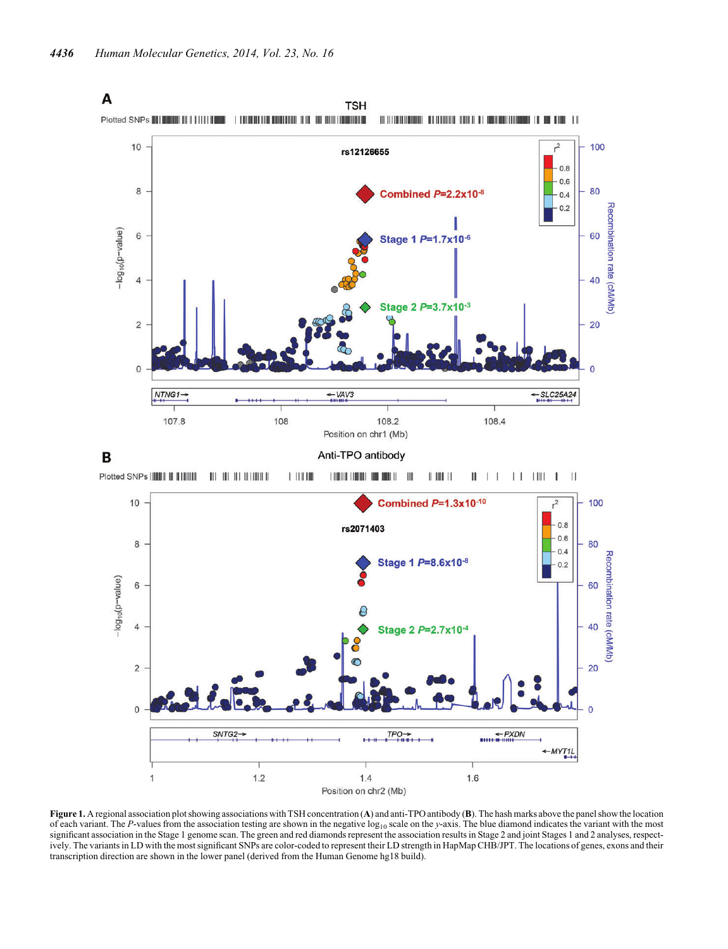<span id="page-3-0"></span>

Figure 1. A regional association plot showing associations with TSH concentration (A) and anti-TPO antibody (B). The hash marks above the panel show the location of each variant. The P-values from the association testing are shown in the negative  $log_{10}$  scale on the y-axis. The blue diamond indicates the variant with the most significant association in the Stage 1 genome scan. The green and red diamonds represent the association results in Stage 2 and joint Stages 1 and 2 analyses, respectively. The variants in LD with the most significant SNPs are color-coded to represent their LD strength in HapMap CHB/JPT. The locations of genes, exons and their transcription direction are shown in the lower panel (derived from the Human Genome hg18 build).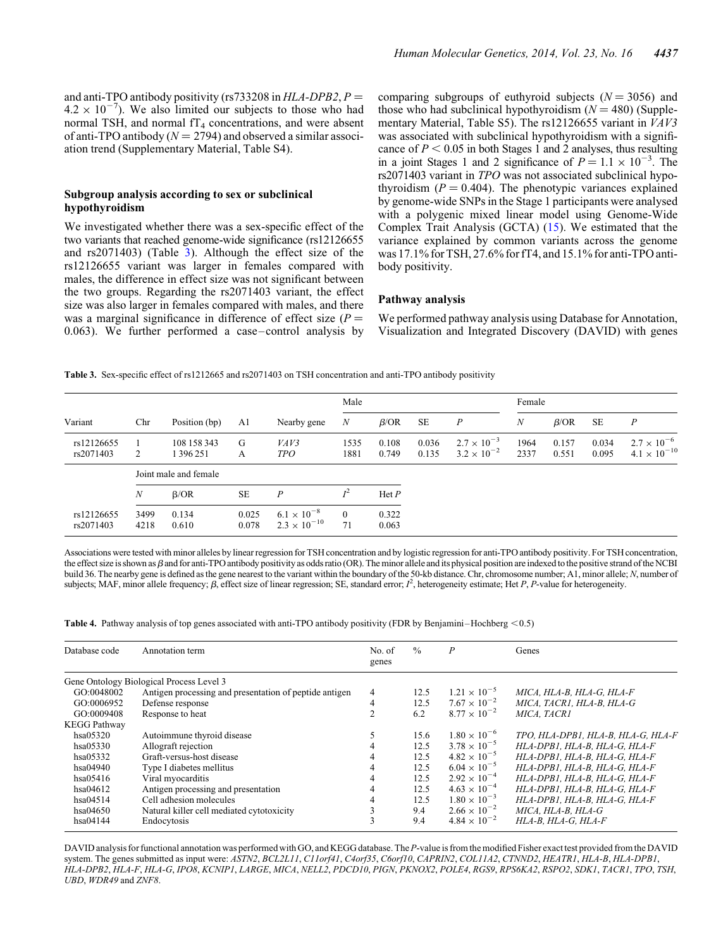<span id="page-4-0"></span>and anti-TPO antibody positivity (rs733208 in  $HLA-DPB2$ ,  $P =$  $4.2 \times 10^{-7}$ ). We also limited our subjects to those who had normal TSH, and normal  $IT_4$  concentrations, and were absent of anti-TPO antibody ( $N = 2794$ ) and observed a similar association trend ([Supplementary Material, Table S4](http://hmg.oxfordjournals.org/lookup/suppl/doi:10.1093/hmg/ddu145/-/DC1)).

## Subgroup analysis according to sex or subclinical hypothyroidism

We investigated whether there was a sex-specific effect of the two variants that reached genome-wide significance (rs12126655 and rs2071403) (Table 3). Although the effect size of the rs12126655 variant was larger in females compared with males, the difference in effect size was not significant between the two groups. Regarding the rs2071403 variant, the effect size was also larger in females compared with males, and there was a marginal significance in difference of effect size  $(P =$ 0.063). We further performed a case–control analysis by comparing subgroups of euthyroid subjects  $(N = 3056)$  and those who had subclinical hypothyroidism  $(N = 480)$  ([Supple](http://hmg.oxfordjournals.org/lookup/suppl/doi:10.1093/hmg/ddu145/-/DC1)[mentary Material, Table S5\)](http://hmg.oxfordjournals.org/lookup/suppl/doi:10.1093/hmg/ddu145/-/DC1). The rs12126655 variant in VAV3 was associated with subclinical hypothyroidism with a significance of  $P < 0.05$  in both Stages 1 and 2 analyses, thus resulting in a joint Stages 1 and 2 significance of  $P = 1.1 \times 10^{-3}$ . The rs2071403 variant in TPO was not associated subclinical hypothyroidism  $(P = 0.404)$ . The phenotypic variances explained by genome-wide SNPs in the Stage 1 participants were analysed with a polygenic mixed linear model using Genome-Wide Complex Trait Analysis (GCTA) [\(15](#page-9-0)). We estimated that the variance explained by common variants across the genome was 17.1% for TSH, 27.6% for fT4, and 15.1% for anti-TPO antibody positivity.

# Pathway analysis

We performed pathway analysis using Database for Annotation, Visualization and Integrated Discovery (DAVID) with genes

Table 3. Sex-specific effect of rs1212665 and rs2071403 on TSH concentration and anti-TPO antibody positivity

|                         | Chr              | Position (bp)            | A1             | Nearby gene                                   | Male                 |                 |                |                                              | Female       |                |                |                                               |  |
|-------------------------|------------------|--------------------------|----------------|-----------------------------------------------|----------------------|-----------------|----------------|----------------------------------------------|--------------|----------------|----------------|-----------------------------------------------|--|
| Variant                 |                  |                          |                |                                               | $\boldsymbol{N}$     | $\beta$ /OR     | <b>SE</b>      | $\boldsymbol{P}$                             | N            | $\beta$ /OR    | <b>SE</b>      | Р                                             |  |
| rs12126655<br>rs2071403 | 2                | 108 158 343<br>1 396 251 | G<br>А         | VAV3<br><b>TPO</b>                            | 1535<br>1881         | 0.108<br>0.749  | 0.036<br>0.135 | $2.7 \times 10^{-3}$<br>$3.2 \times 10^{-2}$ | 1964<br>2337 | 0.157<br>0.551 | 0.034<br>0.095 | $2.7 \times 10^{-6}$<br>$4.1 \times 10^{-10}$ |  |
|                         |                  | Joint male and female    |                |                                               |                      |                 |                |                                              |              |                |                |                                               |  |
|                         | $\boldsymbol{N}$ | $\beta$ /OR              | <b>SE</b>      | P                                             | $I^2$                | $\text{Het } P$ |                |                                              |              |                |                |                                               |  |
| rs12126655<br>rs2071403 | 3499<br>4218     | 0.134<br>0.610           | 0.025<br>0.078 | $6.1 \times 10^{-8}$<br>$2.3 \times 10^{-10}$ | $\overline{0}$<br>71 | 0.322<br>0.063  |                |                                              |              |                |                |                                               |  |

Associations were tested with minor alleles by linear regression for TSH concentration and by logistic regression for anti-TPO antibody positivity. For TSH concentration, the effect size is shown as  $\beta$  and for anti-TPO antibody positivity as odds ratio (OR). The minor allele and its physical position are indexed to the positive strand of the NCBI build 36. The nearby gene is defined as the gene nearest to the variant within the boundary of the 50-kb distance. Chr, chromosome number; A1, minor allele; N, number of subjects; MAF, minor allele frequency;  $\beta$ , effect size of linear regression; SE, standard error;  $I^2$ , heterogeneity estimate; Het P, P-value for heterogeneity.

**Table 4.** Pathway analysis of top genes associated with anti-TPO antibody positivity (FDR by Benjamini–Hochberg  $\leq 0.5$ )

| Database code       | Annotation term                                        | No. of<br>genes | $\frac{0}{0}$ | $\boldsymbol{P}$      | Genes                              |
|---------------------|--------------------------------------------------------|-----------------|---------------|-----------------------|------------------------------------|
|                     | Gene Ontology Biological Process Level 3               |                 |               |                       |                                    |
| GO:0048002          | Antigen processing and presentation of peptide antigen | $\overline{4}$  | 12.5          | $1.21 \times 10^{-5}$ | MICA, HLA-B, HLA-G, HLA-F          |
| GO:0006952          | Defense response                                       | 4               | 12.5          | $7.67 \times 10^{-2}$ | MICA, TACR1, HLA-B, HLA-G          |
| GO:0009408          | Response to heat                                       |                 | 6.2           | $8.77 \times 10^{-2}$ | MICA. TACR1                        |
| <b>KEGG Pathway</b> |                                                        |                 |               |                       |                                    |
| hsa05320            | Autoimmune thyroid disease                             |                 | 15.6          | $1.80 \times 10^{-6}$ | TPO, HLA-DPB1, HLA-B, HLA-G, HLA-F |
| hsa05330            | Allograft rejection                                    |                 | 12.5          | $3.78 \times 10^{-5}$ | HLA-DPB1, HLA-B, HLA-G, HLA-F      |
| hsa05332            | Graft-versus-host disease                              | 4               | 12.5          | $4.82 \times 10^{-5}$ | HLA-DPB1, HLA-B, HLA-G, HLA-F      |
| hsa04940            | Type I diabetes mellitus                               | 4               | 12.5          | $6.04 \times 10^{-5}$ | HLA-DPB1, HLA-B, HLA-G, HLA-F      |
| hsa05416            | Viral myocarditis                                      | 4               | 12.5          | $2.92 \times 10^{-4}$ | HLA-DPB1, HLA-B, HLA-G, HLA-F      |
| hsa04612            | Antigen processing and presentation                    | 4               | 12.5          | $4.63 \times 10^{-4}$ | HLA-DPB1, HLA-B, HLA-G, HLA-F      |
| hsa04514            | Cell adhesion molecules                                |                 | 12.5          | $1.80 \times 10^{-3}$ | HLA-DPB1, HLA-B, HLA-G, HLA-F      |
| hsa04650            | Natural killer cell mediated cytotoxicity              |                 | 9.4           | $2.66 \times 10^{-2}$ | MICA, HLA-B, HLA-G                 |
| hsa04144            | Endocytosis                                            |                 | 9.4           | $4.84 \times 10^{-2}$ | HLA-B. HLA-G. HLA-F                |

DAVID analysis for functional annotation was performed with GO, and KEGG database. The P-value is from the modified Fisher exact test provided from the DAVID system. The genes submitted as input were: ASTN2, BCL2L11, C11orf41, C4orf35, C6orf10, CAPRIN2, COL11A2, CTNND2, HEATR1, HLA-B, HLA-DPB1, HLA-DPB2, HLA-F, HLA-G, IPO8, KCNIP1, LARGE, MICA, NELL2, PDCD10, PIGN, PKNOX2, POLE4, RGS9, RPS6KA2, RSPO2, SDK1, TACR1, TPO, TSH, UBD, WDR49 and ZNF8.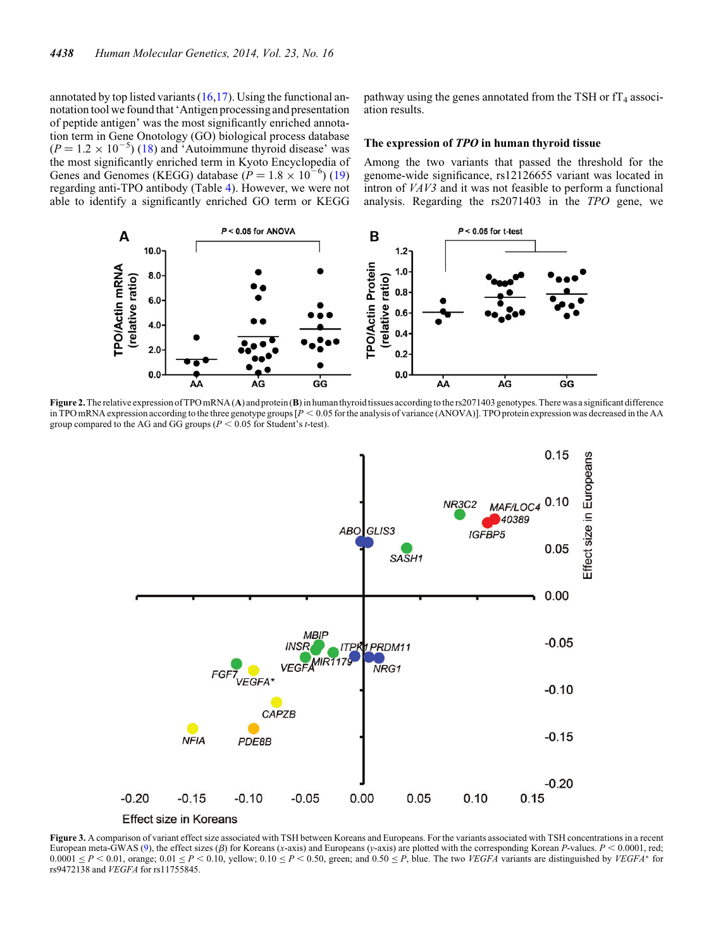<span id="page-5-0"></span>annotated by top listed variants  $(16,17)$  $(16,17)$  $(16,17)$ . Using the functional annotation tool we found that 'Antigen processing and presentation of peptide antigen' was the most significantly enriched annotation term in Gene Onotology (GO) biological process database  $(P = 1.2 \times 10^{-5})$  [\(18](#page-9-0)) and 'Autoimmune thyroid disease' was the most significantly enriched term in Kyoto Encyclopedia of Genes and Genomes (KEGG) database ( $P = 1.8 \times 10^{-6}$ ) ([19\)](#page-9-0) regarding anti-TPO antibody (Table [4\)](#page-4-0). However, we were not able to identify a significantly enriched GO term or KEGG

pathway using the genes annotated from the TSH or  $f_{4}$  association results.

#### The expression of TPO in human thyroid tissue

Among the two variants that passed the threshold for the genome-wide significance, rs12126655 variant was located in intron of VAV3 and it was not feasible to perform a functional analysis. Regarding the rs2071403 in the TPO gene, we



Figure 2. The relative expression of TPO mRNA (A) and protein (B) in human thyroid tissues according to the rs2071403 genotypes. There was a significant difference in TPO mRNA expression according to the three genotype groups  $[P < 0.05$  for the analysis of variance (ANOVA)]. TPO protein expression was decreased in the AA group compared to the AG and GG groups ( $P < 0.05$  for Student's t-test).



Figure 3. A comparison of variant effect size associated with TSH between Koreans and Europeans. For the variants associated with TSH concentrations in a recent European meta-GWAS ([9\)](#page-9-0), the effect sizes ( $\beta$ ) for Koreans (x-axis) and Europeans (y-axis) are plotted with the corresponding Korean P-values.  $P < 0.0001$ , red;  $0.0001 \le P \le 0.01$ , orange;  $0.01 \le P \le 0.10$ , yellow;  $0.10 \le P \le 0.50$ , green; and  $0.50 \le P$ , blue. The two *VEGFA* variants are distinguished by *VEGFA*<sup>\*</sup> for rs9472138 and VEGFA for rs11755845.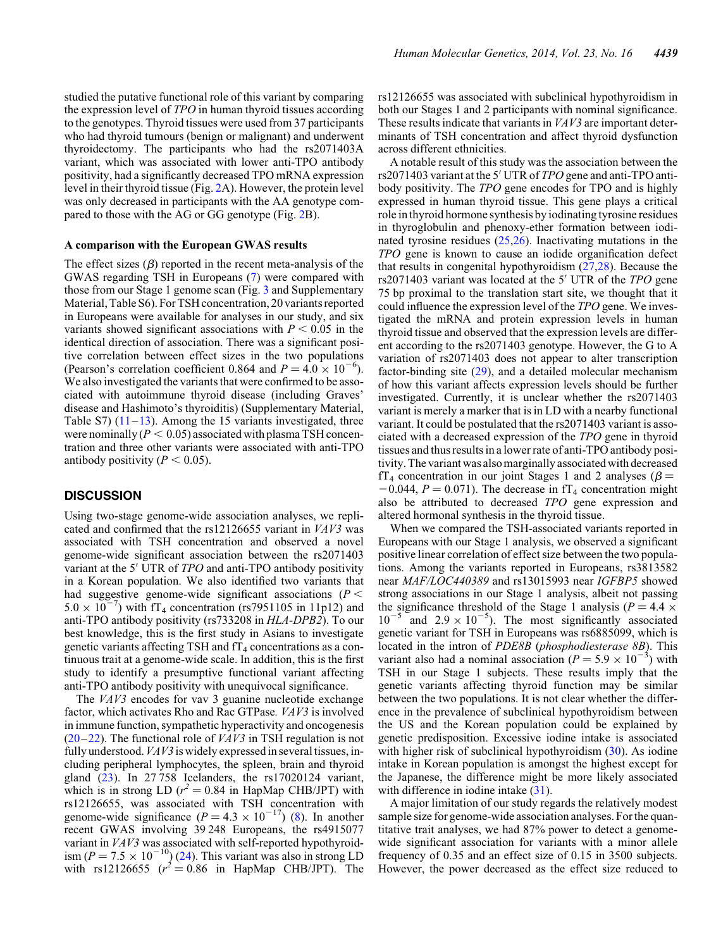studied the putative functional role of this variant by comparing the expression level of TPO in human thyroid tissues according to the genotypes. Thyroid tissues were used from 37 participants who had thyroid tumours (benign or malignant) and underwent thyroidectomy. The participants who had the rs2071403A variant, which was associated with lower anti-TPO antibody positivity, had a significantly decreased TPO mRNA expression level in their thyroid tissue (Fig. [2](#page-5-0)A). However, the protein level was only decreased in participants with the AA genotype compared to those with the AG or GG genotype (Fig. [2B](#page-5-0)).

#### A comparison with the European GWAS results

The effect sizes  $(\beta)$  reported in the recent meta-analysis of the GWAS regarding TSH in Europeans ([7\)](#page-8-0) were compared with those from our Stage 1 genome scan (Fig. [3](#page-5-0) and [Supplementary](http://hmg.oxfordjournals.org/lookup/suppl/doi:10.1093/hmg/ddu145/-/DC1) [Material, Table S6\)](http://hmg.oxfordjournals.org/lookup/suppl/doi:10.1093/hmg/ddu145/-/DC1). For TSH concentration, 20 variants reported in Europeans were available for analyses in our study, and six variants showed significant associations with  $P < 0.05$  in the identical direction of association. There was a significant positive correlation between effect sizes in the two populations (Pearson's correlation coefficient 0.864 and  $P = 4.0 \times 10^{-6}$ ). We also investigated the variants that were confirmed to be associated with autoimmune thyroid disease (including Graves' disease and Hashimoto's thyroiditis) [\(Supplementary Material,](http://hmg.oxfordjournals.org/lookup/suppl/doi:10.1093/hmg/ddu145/-/DC1) [Table S7](http://hmg.oxfordjournals.org/lookup/suppl/doi:10.1093/hmg/ddu145/-/DC1))  $(11-13)$  $(11-13)$  $(11-13)$  $(11-13)$ . Among the 15 variants investigated, three were nominally  $(P < 0.05)$  associated with plasma TSH concentration and three other variants were associated with anti-TPO antibody positivity ( $P < 0.05$ ).

# **DISCUSSION**

Using two-stage genome-wide association analyses, we replicated and confirmed that the rs12126655 variant in VAV3 was associated with TSH concentration and observed a novel genome-wide significant association between the rs2071403 variant at the 5' UTR of TPO and anti-TPO antibody positivity in a Korean population. We also identified two variants that had suggestive genome-wide significant associations ( $P <$  $5.0 \times 10^{-7}$ ) with fT<sub>4</sub> concentration (rs7951105 in 11p12) and anti-TPO antibody positivity (rs733208 in HLA-DPB2). To our best knowledge, this is the first study in Asians to investigate genetic variants affecting TSH and  $fT_4$  concentrations as a continuous trait at a genome-wide scale. In addition, this is the first study to identify a presumptive functional variant affecting anti-TPO antibody positivity with unequivocal significance.

The VAV3 encodes for vav 3 guanine nucleotide exchange factor, which activates Rho and Rac GTPase. VAV3 is involved in immune function, sympathetic hyperactivity and oncogenesis  $(20-22)$  $(20-22)$  $(20-22)$  $(20-22)$ . The functional role of *VAV3* in TSH regulation is not fully understood.  $VAV3$  is widely expressed in several tissues, including peripheral lymphocytes, the spleen, brain and thyroid gland ([23\)](#page-9-0). In 27 758 Icelanders, the rs17020124 variant, which is in strong LD ( $r^2 = 0.84$  in HapMap CHB/JPT) with rs12126655, was associated with TSH concentration with genome-wide significance  $(P = 4.3 \times 10^{-17})$  ([8\)](#page-8-0). In another recent GWAS involving 39 248 Europeans, the rs4915077 variant in VAV3 was associated with self-reported hypothyroidism ( $P = 7.5 \times 10^{-10}$ ) [\(24](#page-9-0)). This variant was also in strong LD<br>with rs12126655 ( $r^2 = 0.86$  in HapMap CHB/JPT). The

rs12126655 was associated with subclinical hypothyroidism in both our Stages 1 and 2 participants with nominal significance. These results indicate that variants in VAV3 are important determinants of TSH concentration and affect thyroid dysfunction across different ethnicities.

A notable result of this study was the association between the rs2071403 variant at the 5′ UTR of TPO gene and anti-TPO antibody positivity. The TPO gene encodes for TPO and is highly expressed in human thyroid tissue. This gene plays a critical role in thyroid hormone synthesis by iodinating tyrosine residues in thyroglobulin and phenoxy-ether formation between iodinated tyrosine residues [\(25](#page-9-0),[26\)](#page-9-0). Inactivating mutations in the TPO gene is known to cause an iodide organification defect that results in congenital hypothyroidism [\(27](#page-9-0),[28\)](#page-9-0). Because the rs2071403 variant was located at the 5′ UTR of the TPO gene 75 bp proximal to the translation start site, we thought that it could influence the expression level of the TPO gene. We investigated the mRNA and protein expression levels in human thyroid tissue and observed that the expression levels are different according to the rs2071403 genotype. However, the G to A variation of rs2071403 does not appear to alter transcription factor-binding site ([29\)](#page-9-0), and a detailed molecular mechanism of how this variant affects expression levels should be further investigated. Currently, it is unclear whether the rs2071403 variant is merely a marker that is in LD with a nearby functional variant. It could be postulated that the rs2071403 variant is associated with a decreased expression of the TPO gene in thyroid tissues and thus results in a lower rate of anti-TPO antibody positivity. The variant was also marginally associated with decreased  $fT_4$  concentration in our joint Stages 1 and 2 analyses ( $\beta$  =  $-0.044$ ,  $P = 0.071$ ). The decrease in fT<sub>4</sub> concentration might also be attributed to decreased TPO gene expression and altered hormonal synthesis in the thyroid tissue.

When we compared the TSH-associated variants reported in Europeans with our Stage 1 analysis, we observed a significant positive linear correlation of effect size between the two populations. Among the variants reported in Europeans, rs3813582 near MAF/LOC440389 and rs13015993 near IGFBP5 showed strong associations in our Stage 1 analysis, albeit not passing the significance threshold of the Stage 1 analysis ( $P = 4.4 \times$  $10^{-5}$  and  $2.9 \times 10^{-5}$ ). The most significantly associated genetic variant for TSH in Europeans was rs6885099, which is located in the intron of PDE8B (phosphodiesterase 8B). This variant also had a nominal association  $(P = 5.9 \times 10^{-3})$  with TSH in our Stage 1 subjects. These results imply that the genetic variants affecting thyroid function may be similar between the two populations. It is not clear whether the difference in the prevalence of subclinical hypothyroidism between the US and the Korean population could be explained by genetic predisposition. Excessive iodine intake is associated with higher risk of subclinical hypothyroidism [\(30](#page-9-0)). As iodine intake in Korean population is amongst the highest except for the Japanese, the difference might be more likely associated with difference in iodine intake  $(31)$  $(31)$ .

A major limitation of our study regards the relatively modest sample size for genome-wide association analyses. For the quantitative trait analyses, we had 87% power to detect a genomewide significant association for variants with a minor allele frequency of 0.35 and an effect size of 0.15 in 3500 subjects. However, the power decreased as the effect size reduced to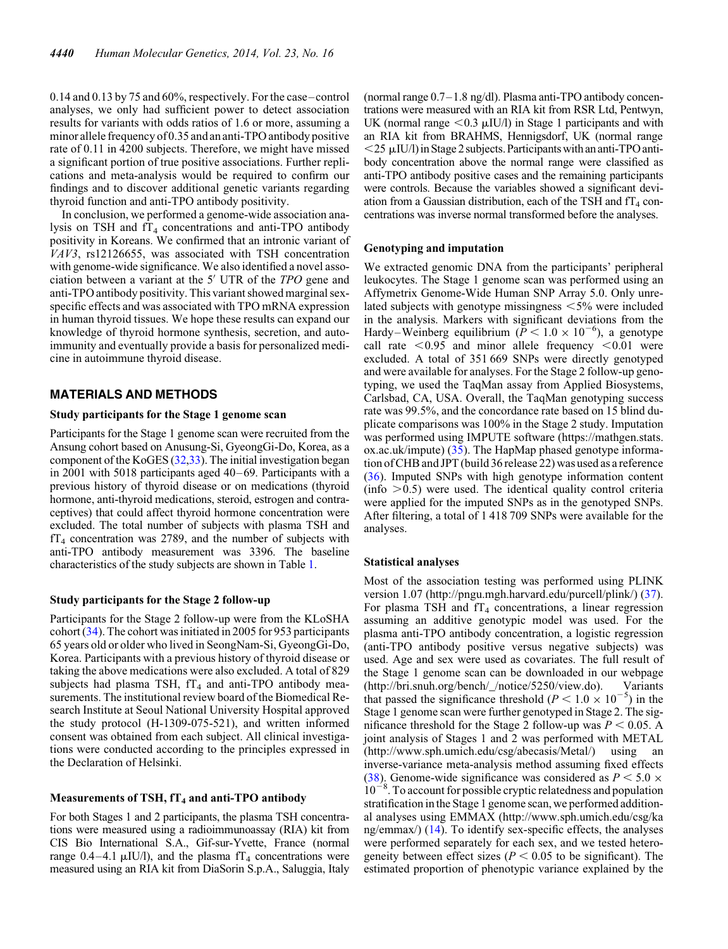0.14 and 0.13 by 75 and 60%, respectively. For the case–control analyses, we only had sufficient power to detect association results for variants with odds ratios of 1.6 or more, assuming a minor allele frequency of 0.35 and an anti-TPO antibody positive rate of 0.11 in 4200 subjects. Therefore, we might have missed a significant portion of true positive associations. Further replications and meta-analysis would be required to confirm our findings and to discover additional genetic variants regarding thyroid function and anti-TPO antibody positivity.

In conclusion, we performed a genome-wide association analysis on TSH and  $f_{4}$  concentrations and anti-TPO antibody positivity in Koreans. We confirmed that an intronic variant of VAV3, rs12126655, was associated with TSH concentration with genome-wide significance. We also identified a novel association between a variant at the 5′ UTR of the TPO gene and anti-TPO antibody positivity. This variant showed marginal sexspecific effects and was associated with TPO mRNA expression in human thyroid tissues. We hope these results can expand our knowledge of thyroid hormone synthesis, secretion, and autoimmunity and eventually provide a basis for personalized medicine in autoimmune thyroid disease.

## MATERIALS AND METHODS

#### Study participants for the Stage 1 genome scan

Participants for the Stage 1 genome scan were recruited from the Ansung cohort based on Anusung-Si, GyeongGi-Do, Korea, as a component of the KoGES ([32,33\)](#page-9-0). The initial investigation began in 2001 with 5018 participants aged 40–69. Participants with a previous history of thyroid disease or on medications (thyroid hormone, anti-thyroid medications, steroid, estrogen and contraceptives) that could affect thyroid hormone concentration were excluded. The total number of subjects with plasma TSH and  $fT_4$  concentration was 2789, and the number of subjects with anti-TPO antibody measurement was 3396. The baseline characteristics of the study subjects are shown in Table [1](#page-1-0).

#### Study participants for the Stage 2 follow-up

Participants for the Stage 2 follow-up were from the KLoSHA cohort ([34\)](#page-9-0). The cohort was initiated in 2005 for 953 participants 65 years old or older who lived in SeongNam-Si, GyeongGi-Do, Korea. Participants with a previous history of thyroid disease or taking the above medications were also excluded. A total of 829 subjects had plasma TSH,  $fT_4$  and anti-TPO antibody measurements. The institutional review board of the Biomedical Research Institute at Seoul National University Hospital approved the study protocol (H-1309-075-521), and written informed consent was obtained from each subject. All clinical investigations were conducted according to the principles expressed in the Declaration of Helsinki.

# Measurements of TSH,  $IT_4$  and anti-TPO antibody

For both Stages 1 and 2 participants, the plasma TSH concentrations were measured using a radioimmunoassay (RIA) kit from CIS Bio International S.A., Gif-sur-Yvette, France (normal range 0.4–4.1  $\mu$ IU/l), and the plasma fT<sub>4</sub> concentrations were measured using an RIA kit from DiaSorin S.p.A., Saluggia, Italy

(normal range 0.7–1.8 ng/dl). Plasma anti-TPO antibody concentrations were measured with an RIA kit from RSR Ltd, Pentwyn, UK (normal range  $\leq 0.3$   $\mu$ IU/l) in Stage 1 participants and with an RIA kit from BRAHMS, Hennigsdorf, UK (normal range  $<$  25  $\mu$ IU/l) in Stage 2 subjects. Participants with an anti-TPO antibody concentration above the normal range were classified as anti-TPO antibody positive cases and the remaining participants were controls. Because the variables showed a significant deviation from a Gaussian distribution, each of the TSH and  $TT_4$  concentrations was inverse normal transformed before the analyses.

#### Genotyping and imputation

We extracted genomic DNA from the participants' peripheral leukocytes. The Stage 1 genome scan was performed using an Affymetrix Genome-Wide Human SNP Array 5.0. Only unrelated subjects with genotype missingness  $\leq 5\%$  were included in the analysis. Markers with significant deviations from the Hardy–Weinberg equilibrium ( $\tilde{P} < 1.0 \times 10^{-6}$ ), a genotype call rate  $< 0.95$  and minor allele frequency  $< 0.01$  were excluded. A total of 351 669 SNPs were directly genotyped and were available for analyses. For the Stage 2 follow-up genotyping, we used the TaqMan assay from Applied Biosystems, Carlsbad, CA, USA. Overall, the TaqMan genotyping success rate was 99.5%, and the concordance rate based on 15 blind duplicate comparisons was 100% in the Stage 2 study. Imputation was performed using IMPUTE software (https://mathgen.stats. ox.ac.uk/impute) ([35\)](#page-9-0). The HapMap phased genotype information of CHB and JPT (build 36 release 22) was used as a reference [\(36](#page-9-0)). Imputed SNPs with high genotype information content  $(info > 0.5)$  were used. The identical quality control criteria were applied for the imputed SNPs as in the genotyped SNPs. After filtering, a total of 1 418 709 SNPs were available for the analyses.

#### Statistical analyses

Most of the association testing was performed using PLINK version 1.07 (http://pngu.mgh.harvard.edu/purcell/plink/) [\(37](#page-9-0)). For plasma TSH and  $f_{4}$  concentrations, a linear regression assuming an additive genotypic model was used. For the plasma anti-TPO antibody concentration, a logistic regression (anti-TPO antibody positive versus negative subjects) was used. Age and sex were used as covariates. The full result of the Stage 1 genome scan can be downloaded in our webpage (http://bri.snuh.org/bench/\_/notice/5250/view.do). Variants that passed the significance threshold ( $P < 1.0 \times 10^{-5}$ ) in the Stage 1 genome scan were further genotyped in Stage 2. The significance threshold for the Stage 2 follow-up was  $P < 0.05$ . A joint analysis of Stages 1 and 2 was performed with METAL (http://www.sph.umich.edu/csg/abecasis/Metal/) using an inverse-variance meta-analysis method assuming fixed effects [\(38](#page-9-0)). Genome-wide significance was considered as  $P \le 5.0 \times$  $10^{-8}$ . To account for possible cryptic relatedness and population stratification in the Stage 1 genome scan, we performed additional analyses using EMMAX (http://www.sph.umich.edu/csg/ka ng/emmax/) ([14\)](#page-9-0). To identify sex-specific effects, the analyses were performed separately for each sex, and we tested heterogeneity between effect sizes ( $P < 0.05$  to be significant). The estimated proportion of phenotypic variance explained by the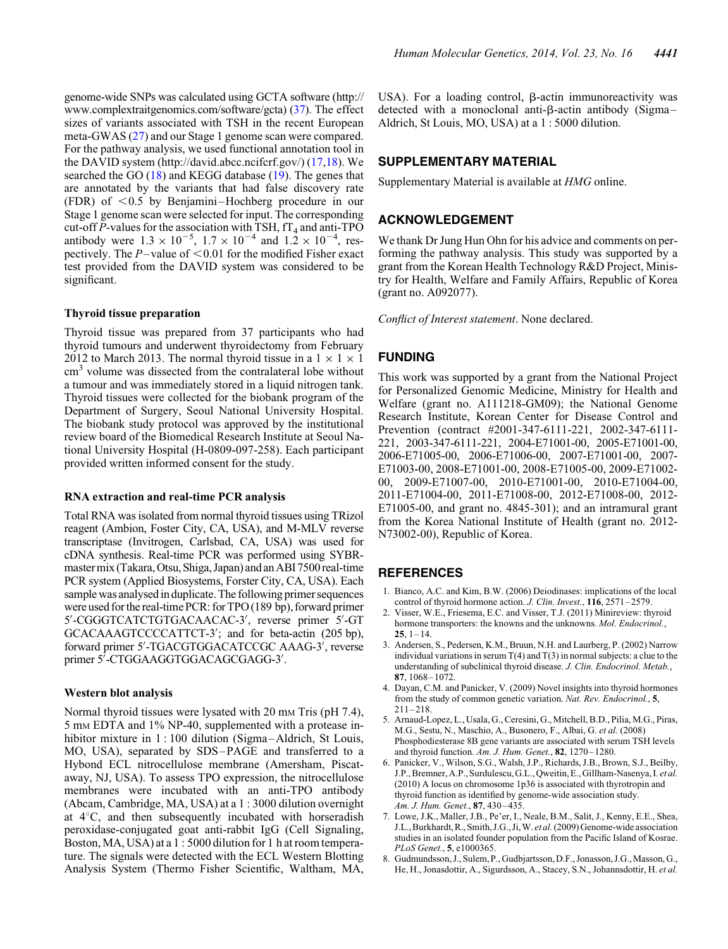<span id="page-8-0"></span>genome-wide SNPs was calculated using GCTA software (http:// www.complextraitgenomics.com/software/gcta) [\(37\)](#page-9-0). The effect sizes of variants associated with TSH in the recent European meta-GWAS ([27\)](#page-9-0) and our Stage 1 genome scan were compared. For the pathway analysis, we used functional annotation tool in the DAVID system (http://david.abcc.ncifcrf.gov/) ([17,18](#page-9-0)). We searched the GO [\(18](#page-9-0)) and KEGG database [\(19](#page-9-0)). The genes that are annotated by the variants that had false discovery rate (FDR) of  $\leq 0.5$  by Benjamini–Hochberg procedure in our Stage 1 genome scan were selected for input. The corresponding cut-off P-values for the association with TSH,  $fT_4$  and anti-TPO antibody were  $1.3 \times 10^{-5}$ ,  $1.7 \times 10^{-4}$  and  $1.2 \times 10^{-4}$ , respectively. The  $P$ -value of <0.01 for the modified Fisher exact test provided from the DAVID system was considered to be significant.

## Thyroid tissue preparation

Thyroid tissue was prepared from 37 participants who had thyroid tumours and underwent thyroidectomy from February 2012 to March 2013. The normal thyroid tissue in a  $1 \times 1 \times 1$ cm<sup>3</sup> volume was dissected from the contralateral lobe without a tumour and was immediately stored in a liquid nitrogen tank. Thyroid tissues were collected for the biobank program of the Department of Surgery, Seoul National University Hospital. The biobank study protocol was approved by the institutional review board of the Biomedical Research Institute at Seoul National University Hospital (H-0809-097-258). Each participant provided written informed consent for the study.

#### RNA extraction and real-time PCR analysis

Total RNA was isolated from normal thyroid tissues using TRizol reagent (Ambion, Foster City, CA, USA), and M-MLV reverse transcriptase (Invitrogen, Carlsbad, CA, USA) was used for cDNA synthesis. Real-time PCR was performed using SYBRmastermix (Takara, Otsu, Shiga, Japan) and an ABI 7500 real-time PCR system (Applied Biosystems, Forster City, CA, USA). Each sample was analysed in duplicate. The following primer sequences were used for the real-time PCR: for TPO (189 bp), forward primer 5′ -CGGGTCATCTGTGACAACAC-3′ , reverse primer 5′ -GT GCACAAAGTCCCCATTCT-3′ ; and for beta-actin (205 bp), forward primer 5′ -TGACGTGGACATCCGC AAAG-3′ , reverse primer 5′ -CTGGAAGGTGGACAGCGAGG-3′ .

## Western blot analysis

Normal thyroid tissues were lysated with 20 mm Tris (pH 7.4), 5 mM EDTA and 1% NP-40, supplemented with a protease inhibitor mixture in 1:100 dilution (Sigma–Aldrich, St Louis, MO, USA), separated by SDS–PAGE and transferred to a Hybond ECL nitrocellulose membrane (Amersham, Piscataway, NJ, USA). To assess TPO expression, the nitrocellulose membranes were incubated with an anti-TPO antibody (Abcam, Cambridge, MA, USA) at a 1 : 3000 dilution overnight at  $4^{\circ}$ C, and then subsequently incubated with horseradish peroxidase-conjugated goat anti-rabbit IgG (Cell Signaling, Boston, MA, USA) at a 1 : 5000 dilution for 1 h at room temperature. The signals were detected with the ECL Western Blotting Analysis System (Thermo Fisher Scientific, Waltham, MA,

USA). For a loading control,  $\beta$ -actin immunoreactivity was detected with a monoclonal anti- $\beta$ -actin antibody (Sigma– Aldrich, St Louis, MO, USA) at a 1 : 5000 dilution.

# SUPPLEMENTARY MATERIAL

[Supplementary Material is available at](http://hmg.oxfordjournals.org/lookup/suppl/doi:10.1093/hmg/ddu145/-/DC1) HMG online.

## ACKNOWLEDGEMENT

We thank Dr Jung Hun Ohn for his advice and comments on performing the pathway analysis. This study was supported by a grant from the Korean Health Technology R&D Project, Ministry for Health, Welfare and Family Affairs, Republic of Korea (grant no. A092077).

Conflict of Interest statement. None declared.

# FUNDING

This work was supported by a grant from the National Project for Personalized Genomic Medicine, Ministry for Health and Welfare (grant no. A111218-GM09); the National Genome Research Institute, Korean Center for Disease Control and Prevention (contract #2001-347-6111-221, 2002-347-6111- 221, 2003-347-6111-221, 2004-E71001-00, 2005-E71001-00, 2006-E71005-00, 2006-E71006-00, 2007-E71001-00, 2007- E71003-00, 2008-E71001-00, 2008-E71005-00, 2009-E71002- 00, 2009-E71007-00, 2010-E71001-00, 2010-E71004-00, 2011-E71004-00, 2011-E71008-00, 2012-E71008-00, 2012- E71005-00, and grant no. 4845-301); and an intramural grant from the Korea National Institute of Health (grant no. 2012- N73002-00), Republic of Korea.

# **REFERENCES**

- 1. Bianco, A.C. and Kim, B.W. (2006) Deiodinases: implications of the local control of thyroid hormone action. J. Clin. Invest., 116, 2571–2579.
- Visser, W.E., Friesema, E.C. and Visser, T.J. (2011) Minireview: thyroid hormone transporters: the knowns and the unknowns. Mol. Endocrinol.,  $25, 1-14.$
- 3. Andersen, S., Pedersen, K.M., Bruun, N.H. and Laurberg, P. (2002) Narrow individual variations in serum  $T(4)$  and  $T(3)$  in normal subjects: a clue to the understanding of subclinical thyroid disease. J. Clin. Endocrinol. Metab., 87, 1068–1072.
- 4. Dayan, C.M. and Panicker, V. (2009) Novel insights into thyroid hormones from the study of common genetic variation. Nat. Rev. Endocrinol., 5,  $211 - 218$ .
- 5. Arnaud-Lopez, L., Usala, G., Ceresini, G., Mitchell, B.D., Pilia, M.G., Piras, M.G., Sestu, N., Maschio, A., Busonero, F., Albai, G. et al. (2008) Phosphodiesterase 8B gene variants are associated with serum TSH levels and thyroid function. Am. J. Hum. Genet., 82, 1270–1280.
- 6. Panicker, V., Wilson, S.G., Walsh, J.P., Richards, J.B., Brown, S.J., Beilby, J.P., Bremner, A.P., Surdulescu,G.L., Qweitin,E., Gillham-Nasenya, I. et al. (2010) A locus on chromosome 1p36 is associated with thyrotropin and thyroid function as identified by genome-wide association study. Am. J. Hum. Genet., 87, 430–435.
- 7. Lowe, J.K., Maller, J.B., Pe'er, I., Neale, B.M., Salit, J., Kenny, E.E., Shea, J.L., Burkhardt, R., Smith, J.G., Ji, W. et al. (2009) Genome-wide association studies in an isolated founder population from the Pacific Island of Kosrae. PLoS Genet., 5, e1000365.
- 8. Gudmundsson, J., Sulem, P., Gudbjartsson, D.F., Jonasson, J.G., Masson, G., He, H., Jonasdottir, A., Sigurdsson, A., Stacey, S.N., Johannsdottir, H. et al.